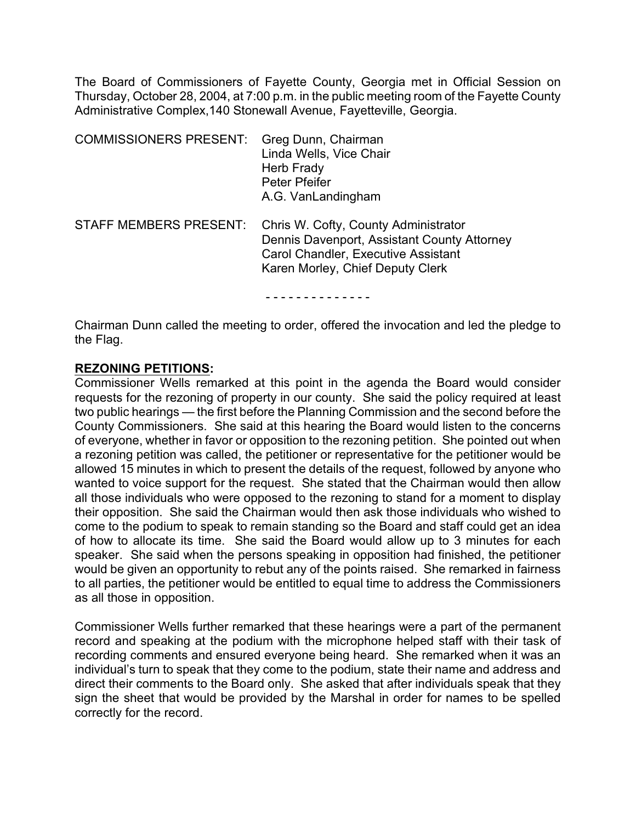The Board of Commissioners of Fayette County, Georgia met in Official Session on Thursday, October 28, 2004, at 7:00 p.m. in the public meeting room of the Fayette County Administrative Complex,140 Stonewall Avenue, Fayetteville, Georgia.

| <b>COMMISSIONERS PRESENT:</b> | Greg Dunn, Chairman<br>Linda Wells, Vice Chair<br>Herb Frady<br><b>Peter Pfeifer</b><br>A.G. VanLandingham                                                     |
|-------------------------------|----------------------------------------------------------------------------------------------------------------------------------------------------------------|
| <b>STAFF MEMBERS PRESENT:</b> | Chris W. Cofty, County Administrator<br>Dennis Davenport, Assistant County Attorney<br>Carol Chandler, Executive Assistant<br>Karen Morley, Chief Deputy Clerk |
|                               |                                                                                                                                                                |

Chairman Dunn called the meeting to order, offered the invocation and led the pledge to the Flag.

## **REZONING PETITIONS:**

Commissioner Wells remarked at this point in the agenda the Board would consider requests for the rezoning of property in our county. She said the policy required at least two public hearings — the first before the Planning Commission and the second before the County Commissioners. She said at this hearing the Board would listen to the concerns of everyone, whether in favor or opposition to the rezoning petition. She pointed out when a rezoning petition was called, the petitioner or representative for the petitioner would be allowed 15 minutes in which to present the details of the request, followed by anyone who wanted to voice support for the request. She stated that the Chairman would then allow all those individuals who were opposed to the rezoning to stand for a moment to display their opposition. She said the Chairman would then ask those individuals who wished to come to the podium to speak to remain standing so the Board and staff could get an idea of how to allocate its time. She said the Board would allow up to 3 minutes for each speaker. She said when the persons speaking in opposition had finished, the petitioner would be given an opportunity to rebut any of the points raised. She remarked in fairness to all parties, the petitioner would be entitled to equal time to address the Commissioners as all those in opposition.

Commissioner Wells further remarked that these hearings were a part of the permanent record and speaking at the podium with the microphone helped staff with their task of recording comments and ensured everyone being heard. She remarked when it was an individual's turn to speak that they come to the podium, state their name and address and direct their comments to the Board only. She asked that after individuals speak that they sign the sheet that would be provided by the Marshal in order for names to be spelled correctly for the record.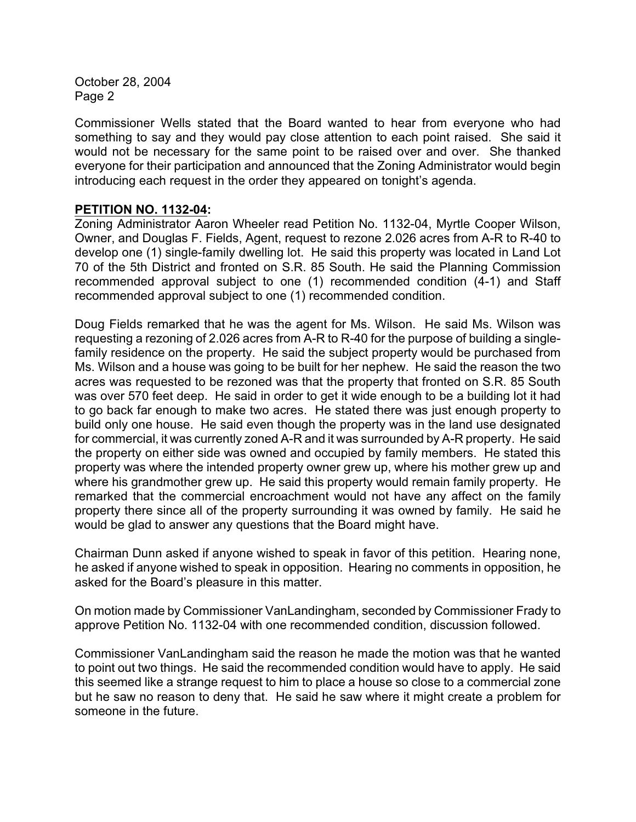Commissioner Wells stated that the Board wanted to hear from everyone who had something to say and they would pay close attention to each point raised. She said it would not be necessary for the same point to be raised over and over. She thanked everyone for their participation and announced that the Zoning Administrator would begin introducing each request in the order they appeared on tonight's agenda.

## **PETITION NO. 1132-04:**

Zoning Administrator Aaron Wheeler read Petition No. 1132-04, Myrtle Cooper Wilson, Owner, and Douglas F. Fields, Agent, request to rezone 2.026 acres from A-R to R-40 to develop one (1) single-family dwelling lot. He said this property was located in Land Lot 70 of the 5th District and fronted on S.R. 85 South. He said the Planning Commission recommended approval subject to one (1) recommended condition (4-1) and Staff recommended approval subject to one (1) recommended condition.

Doug Fields remarked that he was the agent for Ms. Wilson. He said Ms. Wilson was requesting a rezoning of 2.026 acres from A-R to R-40 for the purpose of building a singlefamily residence on the property. He said the subject property would be purchased from Ms. Wilson and a house was going to be built for her nephew. He said the reason the two acres was requested to be rezoned was that the property that fronted on S.R. 85 South was over 570 feet deep. He said in order to get it wide enough to be a building lot it had to go back far enough to make two acres. He stated there was just enough property to build only one house. He said even though the property was in the land use designated for commercial, it was currently zoned A-R and it was surrounded by A-R property. He said the property on either side was owned and occupied by family members. He stated this property was where the intended property owner grew up, where his mother grew up and where his grandmother grew up. He said this property would remain family property. He remarked that the commercial encroachment would not have any affect on the family property there since all of the property surrounding it was owned by family. He said he would be glad to answer any questions that the Board might have.

Chairman Dunn asked if anyone wished to speak in favor of this petition. Hearing none, he asked if anyone wished to speak in opposition. Hearing no comments in opposition, he asked for the Board's pleasure in this matter.

On motion made by Commissioner VanLandingham, seconded by Commissioner Frady to approve Petition No. 1132-04 with one recommended condition, discussion followed.

Commissioner VanLandingham said the reason he made the motion was that he wanted to point out two things. He said the recommended condition would have to apply. He said this seemed like a strange request to him to place a house so close to a commercial zone but he saw no reason to deny that. He said he saw where it might create a problem for someone in the future.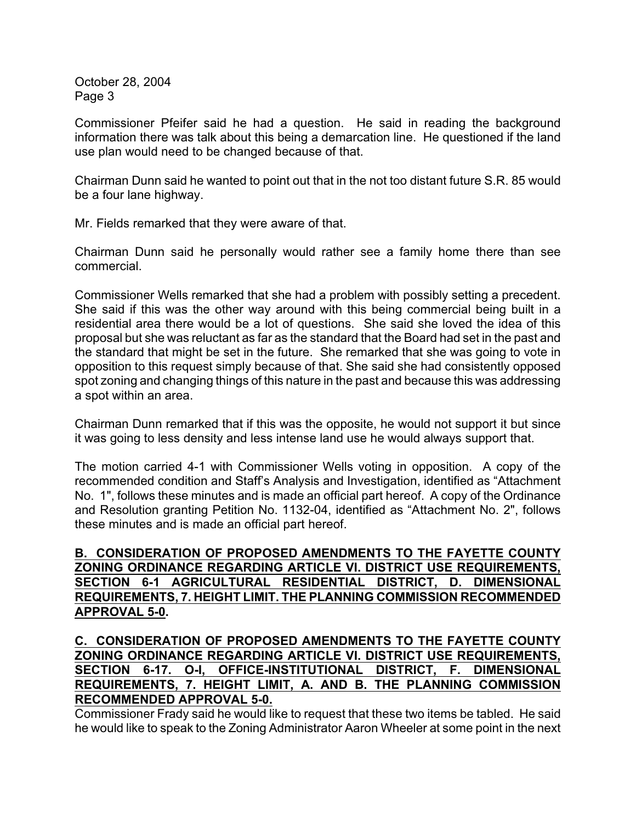Commissioner Pfeifer said he had a question. He said in reading the background information there was talk about this being a demarcation line. He questioned if the land use plan would need to be changed because of that.

Chairman Dunn said he wanted to point out that in the not too distant future S.R. 85 would be a four lane highway.

Mr. Fields remarked that they were aware of that.

Chairman Dunn said he personally would rather see a family home there than see commercial.

Commissioner Wells remarked that she had a problem with possibly setting a precedent. She said if this was the other way around with this being commercial being built in a residential area there would be a lot of questions. She said she loved the idea of this proposal but she was reluctant as far as the standard that the Board had set in the past and the standard that might be set in the future. She remarked that she was going to vote in opposition to this request simply because of that. She said she had consistently opposed spot zoning and changing things of this nature in the past and because this was addressing a spot within an area.

Chairman Dunn remarked that if this was the opposite, he would not support it but since it was going to less density and less intense land use he would always support that.

The motion carried 4-1 with Commissioner Wells voting in opposition. A copy of the recommended condition and Staff's Analysis and Investigation, identified as "Attachment No. 1", follows these minutes and is made an official part hereof. A copy of the Ordinance and Resolution granting Petition No. 1132-04, identified as "Attachment No. 2", follows these minutes and is made an official part hereof.

**B. CONSIDERATION OF PROPOSED AMENDMENTS TO THE FAYETTE COUNTY ZONING ORDINANCE REGARDING ARTICLE VI. DISTRICT USE REQUIREMENTS, SECTION 6-1 AGRICULTURAL RESIDENTIAL DISTRICT, D. DIMENSIONAL REQUIREMENTS, 7. HEIGHT LIMIT. THE PLANNING COMMISSION RECOMMENDED APPROVAL 5-0.**

## **C. CONSIDERATION OF PROPOSED AMENDMENTS TO THE FAYETTE COUNTY ZONING ORDINANCE REGARDING ARTICLE VI. DISTRICT USE REQUIREMENTS, SECTION 6-17. O-I, OFFICE-INSTITUTIONAL DISTRICT, F. DIMENSIONAL REQUIREMENTS, 7. HEIGHT LIMIT, A. AND B. THE PLANNING COMMISSION RECOMMENDED APPROVAL 5-0.**

Commissioner Frady said he would like to request that these two items be tabled. He said he would like to speak to the Zoning Administrator Aaron Wheeler at some point in the next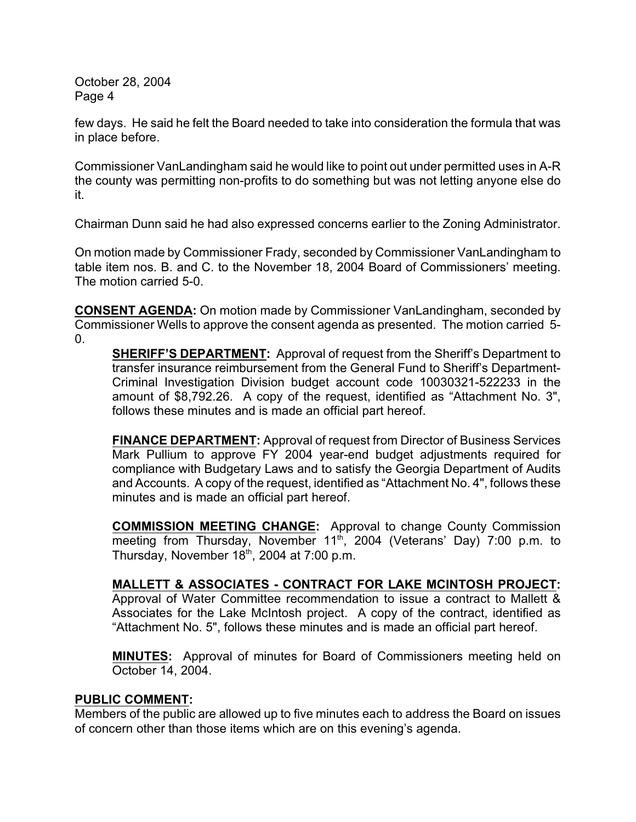few days. He said he felt the Board needed to take into consideration the formula that was in place before.

Commissioner VanLandingham said he would like to point out under permitted uses in A-R the county was permitting non-profits to do something but was not letting anyone else do it.

Chairman Dunn said he had also expressed concerns earlier to the Zoning Administrator.

On motion made by Commissioner Frady, seconded by Commissioner VanLandingham to table item nos. B. and C. to the November 18, 2004 Board of Commissioners' meeting. The motion carried 5-0.

**CONSENT AGENDA:** On motion made by Commissioner VanLandingham, seconded by Commissioner Wells to approve the consent agenda as presented. The motion carried 5-  $\Omega$ .

**SHERIFF'S DEPARTMENT:** Approval of request from the Sheriff's Department to transfer insurance reimbursement from the General Fund to Sheriff's Department-Criminal Investigation Division budget account code 10030321-522233 in the amount of \$8,792.26. A copy of the request, identified as "Attachment No. 3", follows these minutes and is made an official part hereof.

**FINANCE DEPARTMENT:** Approval of request from Director of Business Services Mark Pullium to approve FY 2004 year-end budget adjustments required for compliance with Budgetary Laws and to satisfy the Georgia Department of Audits and Accounts. A copy of the request, identified as "Attachment No. 4", follows these minutes and is made an official part hereof.

**COMMISSION MEETING CHANGE:** Approval to change County Commission meeting from Thursday, November 11<sup>th</sup>, 2004 (Veterans' Day) 7:00 p.m. to Thursday, November  $18<sup>th</sup>$ , 2004 at 7:00 p.m.

**MALLETT & ASSOCIATES - CONTRACT FOR LAKE MCINTOSH PROJECT:** Approval of Water Committee recommendation to issue a contract to Mallett & Associates for the Lake McIntosh project. A copy of the contract, identified as "Attachment No. 5", follows these minutes and is made an official part hereof.

**MINUTES:** Approval of minutes for Board of Commissioners meeting held on October 14, 2004.

## **PUBLIC COMMENT:**

Members of the public are allowed up to five minutes each to address the Board on issues of concern other than those items which are on this evening's agenda.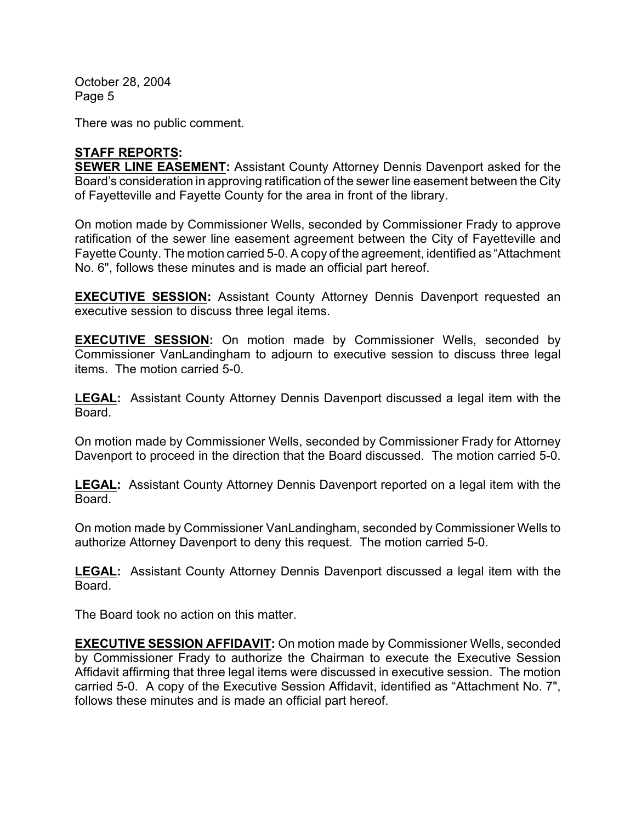There was no public comment.

# **STAFF REPORTS:**

**SEWER LINE EASEMENT:** Assistant County Attorney Dennis Davenport asked for the Board's consideration in approving ratification of the sewer line easement between the City of Fayetteville and Fayette County for the area in front of the library.

On motion made by Commissioner Wells, seconded by Commissioner Frady to approve ratification of the sewer line easement agreement between the City of Fayetteville and Fayette County. The motion carried 5-0. A copy of the agreement, identified as "Attachment No. 6", follows these minutes and is made an official part hereof.

**EXECUTIVE SESSION:** Assistant County Attorney Dennis Davenport requested an executive session to discuss three legal items.

**EXECUTIVE SESSION:** On motion made by Commissioner Wells, seconded by Commissioner VanLandingham to adjourn to executive session to discuss three legal items. The motion carried 5-0.

**LEGAL:** Assistant County Attorney Dennis Davenport discussed a legal item with the Board.

On motion made by Commissioner Wells, seconded by Commissioner Frady for Attorney Davenport to proceed in the direction that the Board discussed. The motion carried 5-0.

**LEGAL:** Assistant County Attorney Dennis Davenport reported on a legal item with the Board.

On motion made by Commissioner VanLandingham, seconded by Commissioner Wells to authorize Attorney Davenport to deny this request. The motion carried 5-0.

**LEGAL:** Assistant County Attorney Dennis Davenport discussed a legal item with the Board.

The Board took no action on this matter.

**EXECUTIVE SESSION AFFIDAVIT:** On motion made by Commissioner Wells, seconded by Commissioner Frady to authorize the Chairman to execute the Executive Session Affidavit affirming that three legal items were discussed in executive session. The motion carried 5-0. A copy of the Executive Session Affidavit, identified as "Attachment No. 7", follows these minutes and is made an official part hereof.